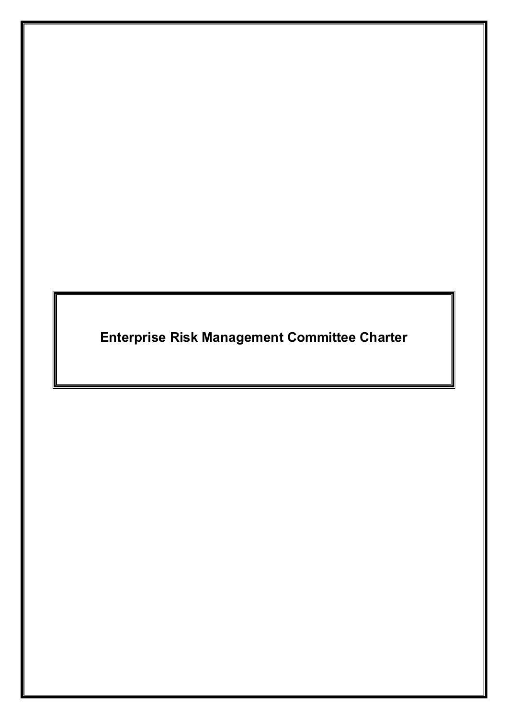**Enterprise Risk Management Committee Charter**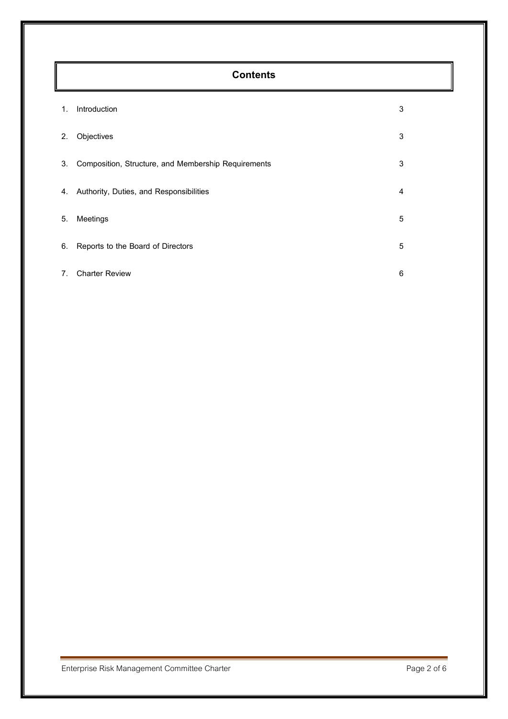# **Contents**

| 1. | Introduction                                        | 3 |
|----|-----------------------------------------------------|---|
| 2. | Objectives                                          | 3 |
| 3. | Composition, Structure, and Membership Requirements | 3 |
| 4. | Authority, Duties, and Responsibilities             | 4 |
| 5. | Meetings                                            | 5 |
| 6. | Reports to the Board of Directors                   | 5 |
| 7. | <b>Charter Review</b>                               | 6 |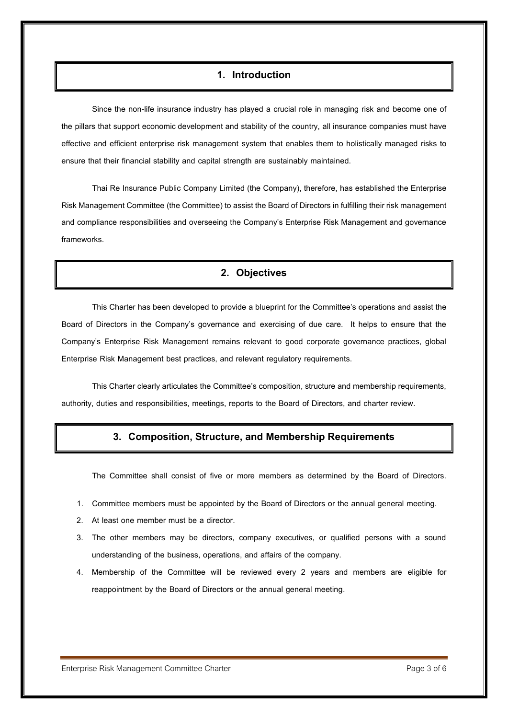#### **1. Introduction**

Since the non-life insurance industry has played a crucial role in managing risk and become one of the pillars that support economic development and stability of the country, all insurance companies must have effective and efficient enterprise risk management system that enables them to holistically managed risks to ensure that their financial stability and capital strength are sustainably maintained.

Thai Re Insurance Public Company Limited (the Company), therefore, has established the Enterprise Risk Management Committee (the Committee) to assist the Board of Directors in fulfilling their risk management and compliance responsibilities and overseeing the Company's Enterprise Risk Management and governance frameworks.

#### **2. Objectives**

This Charter has been developed to provide a blueprint for the Committee's operations and assist the Board of Directors in the Company's governance and exercising of due care. It helps to ensure that the Company's Enterprise Risk Management remains relevant to good corporate governance practices, global Enterprise Risk Management best practices, and relevant regulatory requirements.

This Charter clearly articulates the Committee's composition, structure and membership requirements, authority, duties and responsibilities, meetings, reports to the Board of Directors, and charter review.

## **3. Composition, Structure, and Membership Requirements**

The Committee shall consist of five or more members as determined by the Board of Directors.

- 1. Committee members must be appointed by the Board of Directors or the annual general meeting.
- 2. At least one member must be a director.
- 3. The other members may be directors, company executives, or qualified persons with a sound understanding of the business, operations, and affairs of the company.
- 4. Membership of the Committee will be reviewed every 2 years and members are eligible for reappointment by the Board of Directors or the annual general meeting.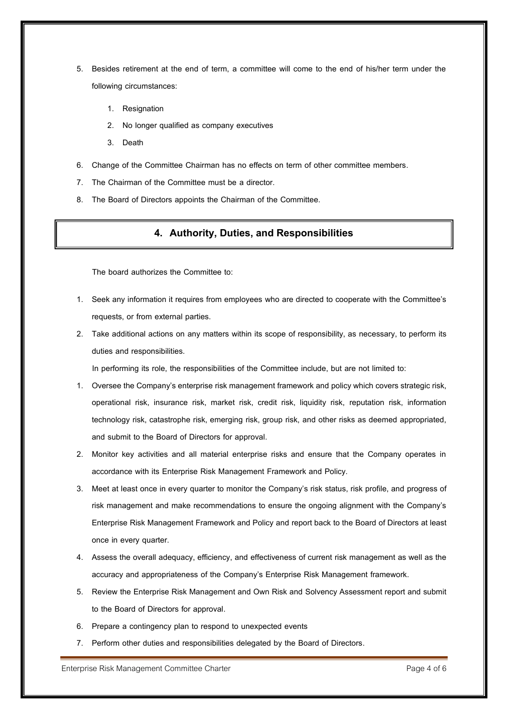- 5. Besides retirement at the end of term, a committee will come to the end of his/her term under the following circumstances:
	- 1. Resignation
	- 2. No longer qualified as company executives
	- 3. Death
- 6. Change of the Committee Chairman has no effects on term of other committee members.
- 7. The Chairman of the Committee must be a director.
- 8. The Board of Directors appoints the Chairman of the Committee.

#### **4. Authority, Duties,and Responsibilities**

The board authorizes the Committee to:

- 1. Seek any information it requires from employees who are directed to cooperate with the Committee's requests, or from external parties.
- 2. Take additional actions on any matters within its scope of responsibility, as necessary, to perform its duties and responsibilities.

In performing its role, the responsibilities of the Committee include, but are not limited to:

- 1. Oversee the Company's enterprise risk management framework and policy which covers strategic risk, operational risk, insurance risk, market risk, credit risk, liquidity risk, reputation risk, information technology risk, catastrophe risk, emerging risk, group risk, and other risks as deemed appropriated, and submit to the Board of Directors for approval.
- 2. Monitor key activities and all material enterprise risks and ensure that the Company operates in accordance with its Enterprise Risk Management Framework and Policy.
- 3. Meet at least once in every quarter to monitor the Company's risk status, risk profile, and progress of risk management and make recommendations to ensure the ongoing alignment with the Company's Enterprise Risk Management Framework and Policy and report back to the Board of Directors at least once in every quarter.
- 4. Assess the overall adequacy, efficiency, and effectiveness of current risk management as well as the accuracy and appropriateness of the Company's Enterprise Risk Management framework.
- 5. Review the Enterprise Risk Management and Own Risk and Solvency Assessment report and submit to the Board of Directors for approval.
- 6. Prepare a contingency plan to respond to unexpected events
- 7. Perform other duties and responsibilities delegated by the Board of Directors.

Enterprise Risk Management Committee Charter Page 4of6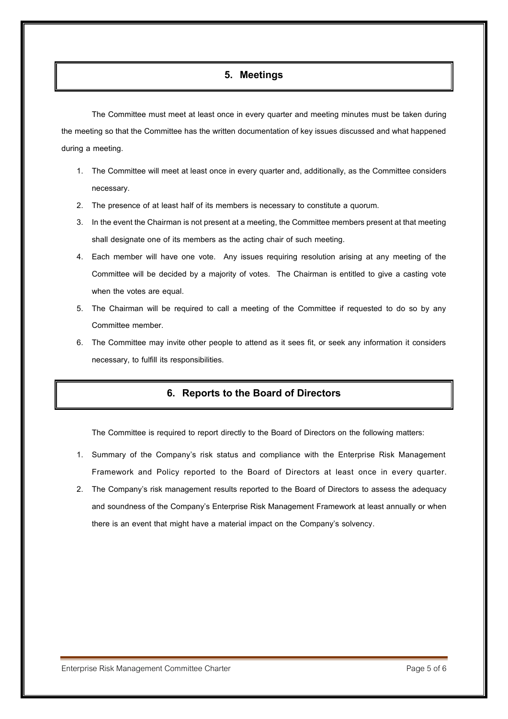#### **5. Meetings**

The Committee must meet at least once in every quarter and meeting minutes must be taken during the meeting so that the Committee has the written documentation of key issues discussed and what happened during a meeting.

- 1. The Committee will meet at least once in every quarter and, additionally, as the Committee considers necessary.
- 2. The presence of at least half of its members is necessary to constitute a quorum.
- 3. In the event the Chairmanis not present at a meeting, the Committee members present at that meeting shall designate one of its members as the acting chair of such meeting.
- 4. Each member will have one vote. Any issues requiring resolution arising at any meeting of the Committee will be decided by a majority of votes. The Chairman is entitled to give a casting vote when the votes are equal.
- 5. The Chairman will be required to call a meeting of the Committee if requested to do so by any Committee member.
- 6. The Committee may invite other people to attend as it sees fit, or seek any information it considers necessary, to fulfill its responsibilities.

## **6. Reports to the Board of Directors**

The Committee is required to report directly to the Board of Directors on the following matters:

- 1. Summary of the Company's risk status and compliance with the Enterprise Risk Management Framework and Policy reported to the Board of Directors at least once in every quarter.
- 2. The Company's risk management results reported to the Board of Directors to assess the adequacy and soundness of the Company's Enterprise Risk Management Framework at least annually or when there is an event that might have a material impact on the Company's solvency.